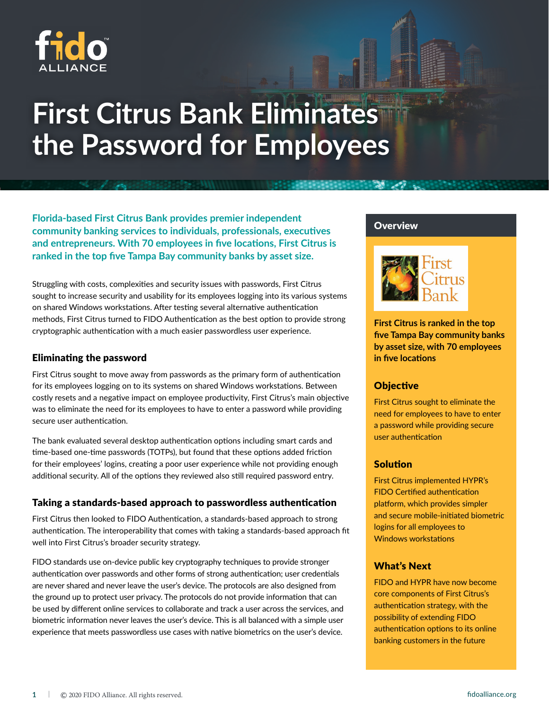

# **First Citrus Bank Eliminates the Password for Employees**

**Florida-based First Citrus Bank provides premier independent community banking services to individuals, professionals, executives and entrepreneurs. With 70 employees in five locations, First Citrus is ranked in the top five Tampa Bay community banks by asset size.** 

Struggling with costs, complexities and security issues with passwords, First Citrus sought to increase security and usability for its employees logging into its various systems on shared Windows workstations. After testing several alternative authentication methods, First Citrus turned to FIDO Authentication as the best option to provide strong cryptographic authentication with a much easier passwordless user experience.

### Eliminating the password

First Citrus sought to move away from passwords as the primary form of authentication for its employees logging on to its systems on shared Windows workstations. Between costly resets and a negative impact on employee productivity, First Citrus's main objective was to eliminate the need for its employees to have to enter a password while providing secure user authentication.

The bank evaluated several desktop authentication options including smart cards and time-based one-time passwords (TOTPs), but found that these options added friction for their employees' logins, creating a poor user experience while not providing enough additional security. All of the options they reviewed also still required password entry.

#### Taking a standards-based approach to passwordless authentication

First Citrus then looked to FIDO Authentication, a standards-based approach to strong authentication. The interoperability that comes with taking a standards-based approach fit well into First Citrus's broader security strategy.

FIDO standards use on-device public key cryptography techniques to provide stronger authentication over passwords and other forms of strong authentication; user credentials are never shared and never leave the user's device. The protocols are also designed from the ground up to protect user privacy. The protocols do not provide information that can be used by different online services to collaborate and track a user across the services, and biometric information never leaves the user's device. This is all balanced with a simple user experience that meets passwordless use cases with native biometrics on the user's device.

#### **Overview**



**First Citrus is ranked in the top five Tampa Bay community banks by asset size, with 70 employees in five locations**

#### **Objective**

First Citrus sought to eliminate the need for employees to have to enter a password while providing secure user authentication

#### Solution

First Citrus implemented HYPR's FIDO Certified authentication platform, which provides simpler and secure mobile-initiated biometric logins for all employees to Windows workstations

# What's Next

FIDO and HYPR have now become core components of First Citrus's authentication strategy, with the possibility of extending FIDO authentication options to its online banking customers in the future